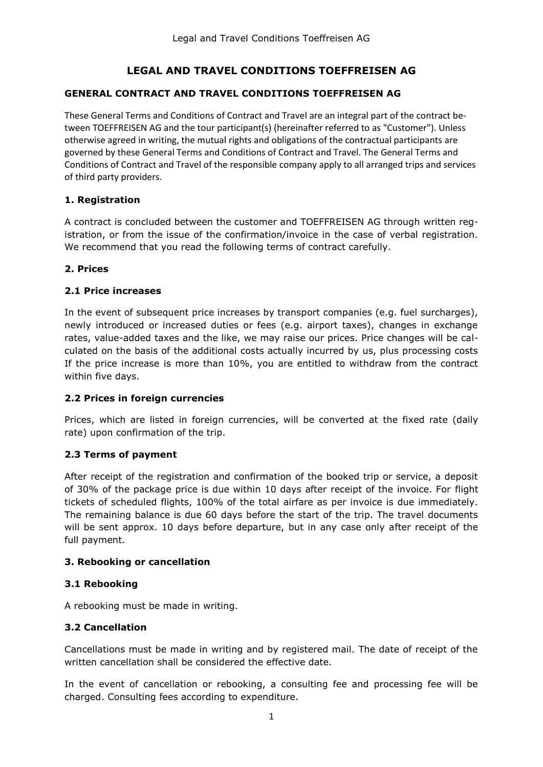# **LEGAL AND TRAVEL CONDITIONS TOEFFREISEN AG**

#### **GENERAL CONTRACT AND TRAVEL CONDITIONS TOEFFREISEN AG**

These General Terms and Conditions of Contract and Travel are an integral part of the contract between TOEFFREISEN AG and the tour participant(s) (hereinafter referred to as "Customer"). Unless otherwise agreed in writing, the mutual rights and obligations of the contractual participants are governed by these General Terms and Conditions of Contract and Travel. The General Terms and Conditions of Contract and Travel of the responsible company apply to all arranged trips and services of third party providers.

#### **1. Registration**

A contract is concluded between the customer and TOEFFREISEN AG through written registration, or from the issue of the confirmation/invoice in the case of verbal registration. We recommend that you read the following terms of contract carefully.

#### **2. Prices**

#### **2.1 Price increases**

In the event of subsequent price increases by transport companies (e.g. fuel surcharges), newly introduced or increased duties or fees (e.g. airport taxes), changes in exchange rates, value-added taxes and the like, we may raise our prices. Price changes will be calculated on the basis of the additional costs actually incurred by us, plus processing costs If the price increase is more than 10%, you are entitled to withdraw from the contract within five days.

#### **2.2 Prices in foreign currencies**

Prices, which are listed in foreign currencies, will be converted at the fixed rate (daily rate) upon confirmation of the trip.

# **2.3 Terms of payment**

After receipt of the registration and confirmation of the booked trip or service, a deposit of 30% of the package price is due within 10 days after receipt of the invoice. For flight tickets of scheduled flights, 100% of the total airfare as per invoice is due immediately. The remaining balance is due 60 days before the start of the trip. The travel documents will be sent approx. 10 days before departure, but in any case only after receipt of the full payment.

#### **3. Rebooking or cancellation**

#### **3.1 Rebooking**

A rebooking must be made in writing.

# **3.2 Cancellation**

Cancellations must be made in writing and by registered mail. The date of receipt of the written cancellation shall be considered the effective date.

In the event of cancellation or rebooking, a consulting fee and processing fee will be charged. Consulting fees according to expenditure.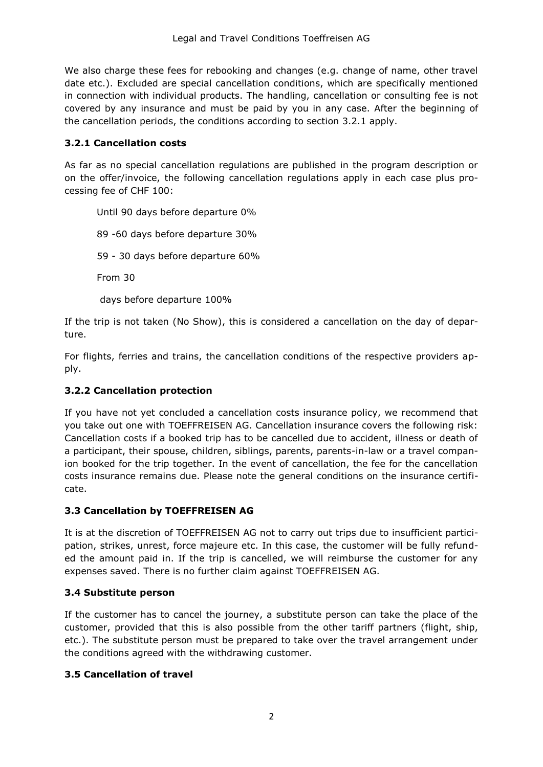We also charge these fees for rebooking and changes (e.g. change of name, other travel date etc.). Excluded are special cancellation conditions, which are specifically mentioned in connection with individual products. The handling, cancellation or consulting fee is not covered by any insurance and must be paid by you in any case. After the beginning of the cancellation periods, the conditions according to section 3.2.1 apply.

#### **3.2.1 Cancellation costs**

As far as no special cancellation regulations are published in the program description or on the offer/invoice, the following cancellation regulations apply in each case plus processing fee of CHF 100:

Until 90 days before departure 0% 89 -60 days before departure 30% 59 - 30 days before departure 60% From 30 days before departure 100%

If the trip is not taken (No Show), this is considered a cancellation on the day of departure.

For flights, ferries and trains, the cancellation conditions of the respective providers apply.

# **3.2.2 Cancellation protection**

If you have not yet concluded a cancellation costs insurance policy, we recommend that you take out one with TOEFFREISEN AG. Cancellation insurance covers the following risk: Cancellation costs if a booked trip has to be cancelled due to accident, illness or death of a participant, their spouse, children, siblings, parents, parents-in-law or a travel companion booked for the trip together. In the event of cancellation, the fee for the cancellation costs insurance remains due. Please note the general conditions on the insurance certificate.

# **3.3 Cancellation by TOEFFREISEN AG**

It is at the discretion of TOEFFREISEN AG not to carry out trips due to insufficient participation, strikes, unrest, force majeure etc. In this case, the customer will be fully refunded the amount paid in. If the trip is cancelled, we will reimburse the customer for any expenses saved. There is no further claim against TOEFFREISEN AG.

# **3.4 Substitute person**

If the customer has to cancel the journey, a substitute person can take the place of the customer, provided that this is also possible from the other tariff partners (flight, ship, etc.). The substitute person must be prepared to take over the travel arrangement under the conditions agreed with the withdrawing customer.

#### **3.5 Cancellation of travel**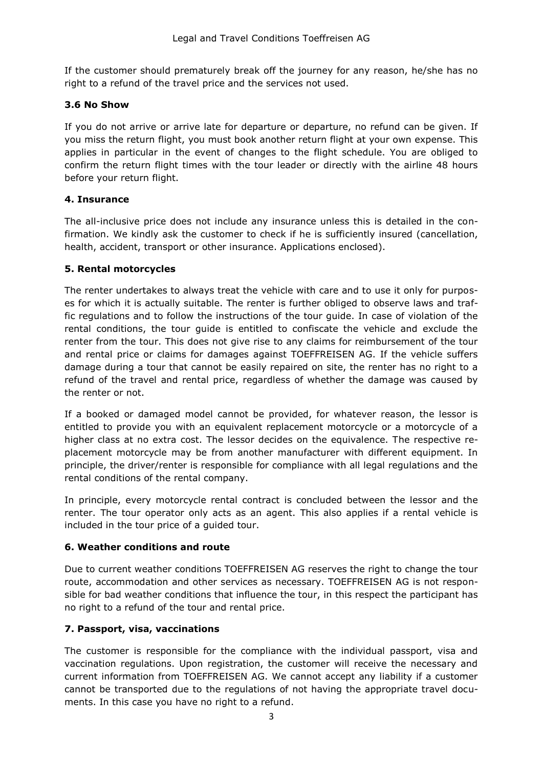If the customer should prematurely break off the journey for any reason, he/she has no right to a refund of the travel price and the services not used.

#### **3.6 No Show**

If you do not arrive or arrive late for departure or departure, no refund can be given. If you miss the return flight, you must book another return flight at your own expense. This applies in particular in the event of changes to the flight schedule. You are obliged to confirm the return flight times with the tour leader or directly with the airline 48 hours before your return flight.

# **4. Insurance**

The all-inclusive price does not include any insurance unless this is detailed in the confirmation. We kindly ask the customer to check if he is sufficiently insured (cancellation, health, accident, transport or other insurance. Applications enclosed).

#### **5. Rental motorcycles**

The renter undertakes to always treat the vehicle with care and to use it only for purposes for which it is actually suitable. The renter is further obliged to observe laws and traffic regulations and to follow the instructions of the tour guide. In case of violation of the rental conditions, the tour guide is entitled to confiscate the vehicle and exclude the renter from the tour. This does not give rise to any claims for reimbursement of the tour and rental price or claims for damages against TOEFFREISEN AG. If the vehicle suffers damage during a tour that cannot be easily repaired on site, the renter has no right to a refund of the travel and rental price, regardless of whether the damage was caused by the renter or not.

If a booked or damaged model cannot be provided, for whatever reason, the lessor is entitled to provide you with an equivalent replacement motorcycle or a motorcycle of a higher class at no extra cost. The lessor decides on the equivalence. The respective replacement motorcycle may be from another manufacturer with different equipment. In principle, the driver/renter is responsible for compliance with all legal regulations and the rental conditions of the rental company.

In principle, every motorcycle rental contract is concluded between the lessor and the renter. The tour operator only acts as an agent. This also applies if a rental vehicle is included in the tour price of a guided tour.

#### **6. Weather conditions and route**

Due to current weather conditions TOEFFREISEN AG reserves the right to change the tour route, accommodation and other services as necessary. TOEFFREISEN AG is not responsible for bad weather conditions that influence the tour, in this respect the participant has no right to a refund of the tour and rental price.

# **7. Passport, visa, vaccinations**

The customer is responsible for the compliance with the individual passport, visa and vaccination regulations. Upon registration, the customer will receive the necessary and current information from TOEFFREISEN AG. We cannot accept any liability if a customer cannot be transported due to the regulations of not having the appropriate travel documents. In this case you have no right to a refund.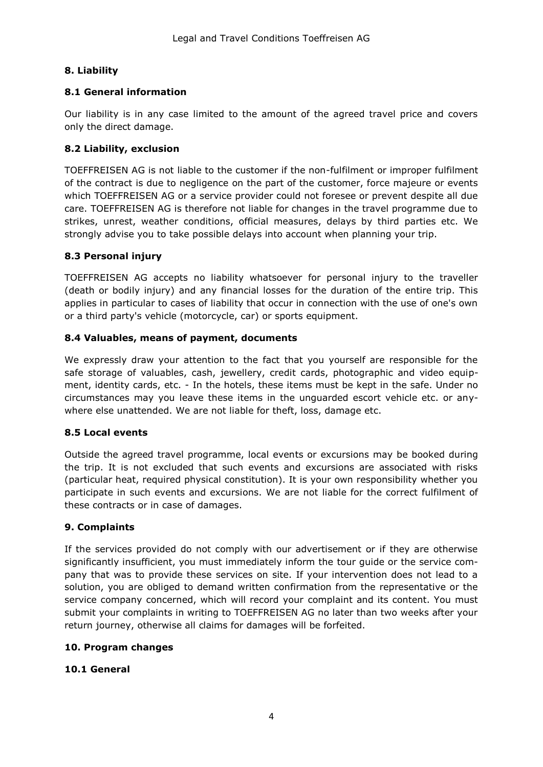# **8. Liability**

# **8.1 General information**

Our liability is in any case limited to the amount of the agreed travel price and covers only the direct damage.

# **8.2 Liability, exclusion**

TOEFFREISEN AG is not liable to the customer if the non-fulfilment or improper fulfilment of the contract is due to negligence on the part of the customer, force majeure or events which TOEFFREISEN AG or a service provider could not foresee or prevent despite all due care. TOEFFREISEN AG is therefore not liable for changes in the travel programme due to strikes, unrest, weather conditions, official measures, delays by third parties etc. We strongly advise you to take possible delays into account when planning your trip.

# **8.3 Personal injury**

TOEFFREISEN AG accepts no liability whatsoever for personal injury to the traveller (death or bodily injury) and any financial losses for the duration of the entire trip. This applies in particular to cases of liability that occur in connection with the use of one's own or a third party's vehicle (motorcycle, car) or sports equipment.

# **8.4 Valuables, means of payment, documents**

We expressly draw your attention to the fact that you yourself are responsible for the safe storage of valuables, cash, jewellery, credit cards, photographic and video equipment, identity cards, etc. - In the hotels, these items must be kept in the safe. Under no circumstances may you leave these items in the unguarded escort vehicle etc. or anywhere else unattended. We are not liable for theft, loss, damage etc.

# **8.5 Local events**

Outside the agreed travel programme, local events or excursions may be booked during the trip. It is not excluded that such events and excursions are associated with risks (particular heat, required physical constitution). It is your own responsibility whether you participate in such events and excursions. We are not liable for the correct fulfilment of these contracts or in case of damages.

# **9. Complaints**

If the services provided do not comply with our advertisement or if they are otherwise significantly insufficient, you must immediately inform the tour guide or the service company that was to provide these services on site. If your intervention does not lead to a solution, you are obliged to demand written confirmation from the representative or the service company concerned, which will record your complaint and its content. You must submit your complaints in writing to TOEFFREISEN AG no later than two weeks after your return journey, otherwise all claims for damages will be forfeited.

# **10. Program changes**

# **10.1 General**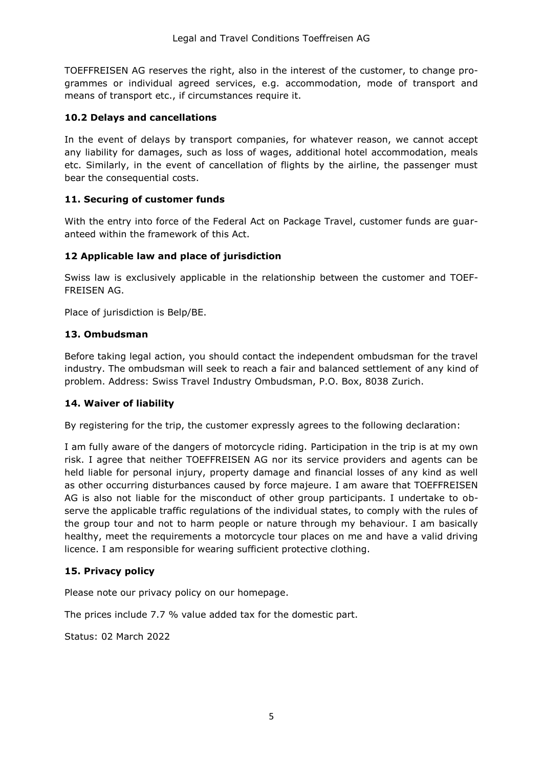TOEFFREISEN AG reserves the right, also in the interest of the customer, to change programmes or individual agreed services, e.g. accommodation, mode of transport and means of transport etc., if circumstances require it.

#### **10.2 Delays and cancellations**

In the event of delays by transport companies, for whatever reason, we cannot accept any liability for damages, such as loss of wages, additional hotel accommodation, meals etc. Similarly, in the event of cancellation of flights by the airline, the passenger must bear the consequential costs.

#### **11. Securing of customer funds**

With the entry into force of the Federal Act on Package Travel, customer funds are guaranteed within the framework of this Act.

#### **12 Applicable law and place of jurisdiction**

Swiss law is exclusively applicable in the relationship between the customer and TOEF-FREISEN AG.

Place of jurisdiction is Belp/BE.

#### **13. Ombudsman**

Before taking legal action, you should contact the independent ombudsman for the travel industry. The ombudsman will seek to reach a fair and balanced settlement of any kind of problem. Address: Swiss Travel Industry Ombudsman, P.O. Box, 8038 Zurich.

#### **14. Waiver of liability**

By registering for the trip, the customer expressly agrees to the following declaration:

I am fully aware of the dangers of motorcycle riding. Participation in the trip is at my own risk. I agree that neither TOEFFREISEN AG nor its service providers and agents can be held liable for personal injury, property damage and financial losses of any kind as well as other occurring disturbances caused by force majeure. I am aware that TOEFFREISEN AG is also not liable for the misconduct of other group participants. I undertake to observe the applicable traffic regulations of the individual states, to comply with the rules of the group tour and not to harm people or nature through my behaviour. I am basically healthy, meet the requirements a motorcycle tour places on me and have a valid driving licence. I am responsible for wearing sufficient protective clothing.

#### **15. Privacy policy**

Please note our privacy policy on our homepage.

The prices include 7.7 % value added tax for the domestic part.

Status: 02 March 2022